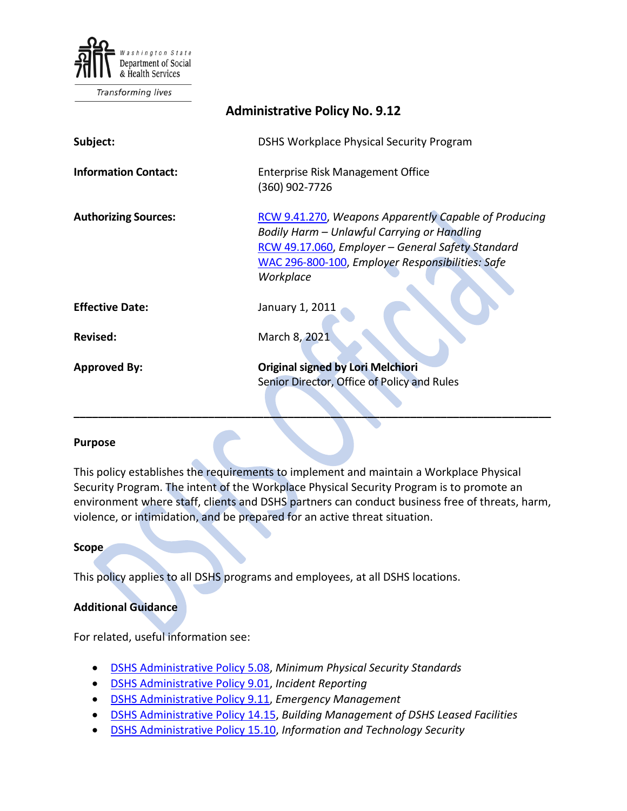

Transforming lives

| <b>Administrative Policy No. 9.12</b> |                                                                                                                                                                                                                            |
|---------------------------------------|----------------------------------------------------------------------------------------------------------------------------------------------------------------------------------------------------------------------------|
| Subject:                              | DSHS Workplace Physical Security Program                                                                                                                                                                                   |
| <b>Information Contact:</b>           | Enterprise Risk Management Office<br>(360) 902-7726                                                                                                                                                                        |
| <b>Authorizing Sources:</b>           | RCW 9.41.270, Weapons Apparently Capable of Producing<br>Bodily Harm - Unlawful Carrying or Handling<br>RCW 49.17.060, Employer - General Safety Standard<br>WAC 296-800-100, Employer Responsibilities: Safe<br>Workplace |
| <b>Effective Date:</b>                | January 1, 2011                                                                                                                                                                                                            |
| Revised:                              | March 8, 2021                                                                                                                                                                                                              |
| <b>Approved By:</b>                   | <b>Original signed by Lori Melchiori</b><br>Senior Director, Office of Policy and Rules                                                                                                                                    |

#### **Purpose**

This policy establishes the requirements to implement and maintain a Workplace Physical Security Program. The intent of the Workplace Physical Security Program is to promote an environment where staff, clients and DSHS partners can conduct business free of threats, harm, violence, or intimidation, and be prepared for an active threat situation.

**\_\_\_\_\_\_\_\_\_\_\_\_\_\_\_\_\_\_\_\_\_\_\_\_\_\_\_\_\_\_\_\_\_\_\_\_\_\_\_\_\_\_\_\_\_\_\_\_\_\_\_\_\_\_\_\_\_\_\_\_\_\_\_\_\_\_\_\_\_\_\_\_\_\_\_\_\_\_**

#### **Scope**

This policy applies to all DSHS programs and employees, at all DSHS locations.

### **Additional Guidance**

For related, useful information see:

- [DSHS Administrative Policy 5.08,](http://one.dshs.wa.lcl/Policies/Administrative/DSHS-AP-05-08.pdf) *Minimum Physical Security Standards*
- [DSHS Administrative Policy 9.01,](http://one.dshs.wa.lcl/Policies/Administrative/DSHS-AP-09-01.pdf) *Incident Reporting*
- [DSHS Administrative Policy 9.11,](http://one.dshs.wa.lcl/Policies/Administrative/DSHS-AP-09-11.pdf) *Emergency Management*
- [DSHS Administrative Policy 14.15,](http://one.dshs.wa.lcl/Policies/Administrative/DSHS-AP-14-15.pdf) *Building Management of DSHS Leased Facilities*
- [DSHS Administrative Policy 15.10,](http://one.dshs.wa.lcl/Policies/Administrative/DSHS-AP-15-10.pdf) *Information and Technology Security*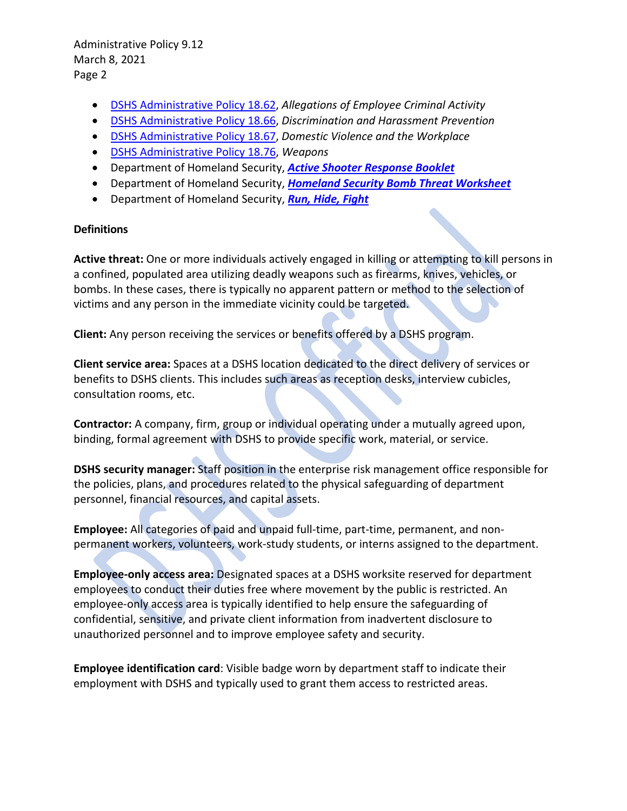- [DSHS Administrative Policy 18.62,](http://one.dshs.wa.lcl/Policies/Administrative/DSHS-AP-18-62.pdf) *Allegations of Employee Criminal Activity*
- [DSHS Administrative Policy 18.66,](http://one.dshs.wa.lcl/Policies/Administrative/DSHS-AP-18-66.pdf) *Discrimination and Harassment Prevention*
- [DSHS Administrative Policy 18.67,](http://one.dshs.wa.lcl/Policies/Administrative/DSHS-AP-18-67.pdf) *Domestic Violence and the Workplace*
- [DSHS Administrative Policy 18.76,](http://one.dshs.wa.lcl/Policies/Administrative/DSHS-AP-18-76.pdf) *Weapons*
- Department of Homeland Security, *[Active Shooter Response Booklet](http://one.dshs.wa.lcl/FS/Loss/Security/Documents/Active%20Shooter%20Response%20Booklet.pdf)*
- Department of Homeland Security, *[Homeland Security Bomb Threat Worksheet](http://one.dshs.wa.lcl/FS/Loss/Security/Documents/Homeland%20Security%20-%20Bomb%20Threat%20Worksheet.pdf)*
- Department of Homeland Security, *[Run, Hide, Fight](https://www.youtube.com/watch?v=5VcSwejU2D0)*

### **Definitions**

**Active threat:** One or more individuals actively engaged in killing or attempting to kill persons in a confined, populated area utilizing deadly weapons such as firearms, knives, vehicles, or bombs. In these cases, there is typically no apparent pattern or method to the selection of victims and any person in the immediate vicinity could be targeted.

**Client:** Any person receiving the services or benefits offered by a DSHS program.

**Client service area:** Spaces at a DSHS location dedicated to the direct delivery of services or benefits to DSHS clients. This includes such areas as reception desks, interview cubicles, consultation rooms, etc.

**Contractor:** A company, firm, group or individual operating under a mutually agreed upon, binding, formal agreement with DSHS to provide specific work, material, or service.

**DSHS security manager:** Staff position in the enterprise risk management office responsible for the policies, plans, and procedures related to the physical safeguarding of department personnel, financial resources, and capital assets.

**Employee:** All categories of paid and unpaid full-time, part-time, permanent, and nonpermanent workers, volunteers, work-study students, or interns assigned to the department.

**Employee-only access area:** Designated spaces at a DSHS worksite reserved for department employees to conduct their duties free where movement by the public is restricted. An employee-only access area is typically identified to help ensure the safeguarding of confidential, sensitive, and private client information from inadvertent disclosure to unauthorized personnel and to improve employee safety and security.

**Employee identification card**: Visible badge worn by department staff to indicate their employment with DSHS and typically used to grant them access to restricted areas.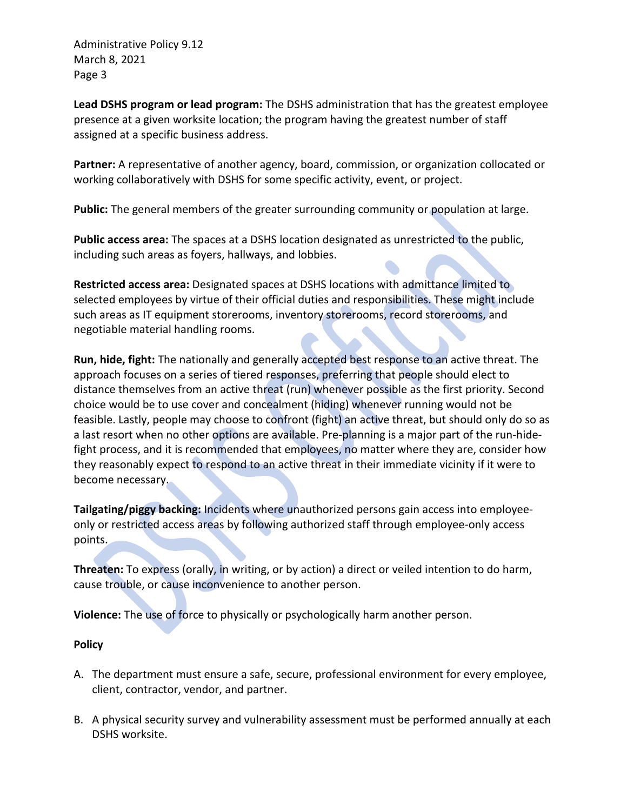**Lead DSHS program or lead program:** The DSHS administration that has the greatest employee presence at a given worksite location; the program having the greatest number of staff assigned at a specific business address.

Partner: A representative of another agency, board, commission, or organization collocated or working collaboratively with DSHS for some specific activity, event, or project.

**Public:** The general members of the greater surrounding community or population at large.

**Public access area:** The spaces at a DSHS location designated as unrestricted to the public, including such areas as foyers, hallways, and lobbies.

**Restricted access area:** Designated spaces at DSHS locations with admittance limited to selected employees by virtue of their official duties and responsibilities. These might include such areas as IT equipment storerooms, inventory storerooms, record storerooms, and negotiable material handling rooms.

**Run, hide, fight:** The nationally and generally accepted best response to an active threat. The approach focuses on a series of tiered responses, preferring that people should elect to distance themselves from an active threat (run) whenever possible as the first priority. Second choice would be to use cover and concealment (hiding) whenever running would not be feasible. Lastly, people may choose to confront (fight) an active threat, but should only do so as a last resort when no other options are available. Pre-planning is a major part of the run-hidefight process, and it is recommended that employees, no matter where they are, consider how they reasonably expect to respond to an active threat in their immediate vicinity if it were to become necessary.

**Tailgating/piggy backing:** Incidents where unauthorized persons gain access into employeeonly or restricted access areas by following authorized staff through employee-only access points.

**Threaten:** To express (orally, in writing, or by action) a direct or veiled intention to do harm, cause trouble, or cause inconvenience to another person.

**Violence:** The use of force to physically or psychologically harm another person.

## **Policy**

- A. The department must ensure a safe, secure, professional environment for every employee, client, contractor, vendor, and partner.
- B. A physical security survey and vulnerability assessment must be performed annually at each DSHS worksite.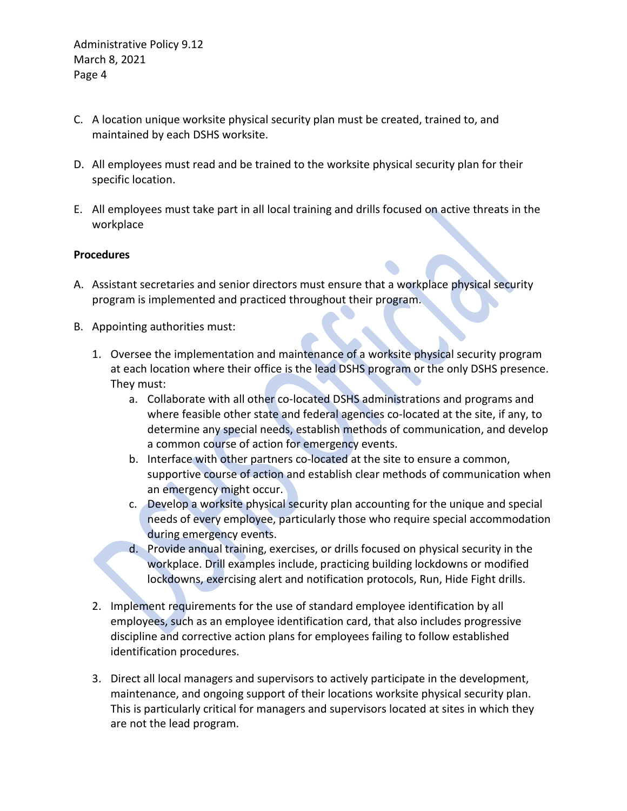- C. A location unique worksite physical security plan must be created, trained to, and maintained by each DSHS worksite.
- D. All employees must read and be trained to the worksite physical security plan for their specific location.
- E. All employees must take part in all local training and drills focused on active threats in the workplace

### **Procedures**

- A. Assistant secretaries and senior directors must ensure that a workplace physical security program is implemented and practiced throughout their program.
- B. Appointing authorities must:
	- 1. Oversee the implementation and maintenance of a worksite physical security program at each location where their office is the lead DSHS program or the only DSHS presence. They must:
		- a. Collaborate with all other co-located DSHS administrations and programs and where feasible other state and federal agencies co-located at the site, if any, to determine any special needs, establish methods of communication, and develop a common course of action for emergency events.
		- b. Interface with other partners co-located at the site to ensure a common, supportive course of action and establish clear methods of communication when an emergency might occur.
		- c. Develop a worksite physical security plan accounting for the unique and special needs of every employee, particularly those who require special accommodation during emergency events.
		- d. Provide annual training, exercises, or drills focused on physical security in the workplace. Drill examples include, practicing building lockdowns or modified lockdowns, exercising alert and notification protocols, Run, Hide Fight drills.
	- 2. Implement requirements for the use of standard employee identification by all employees, such as an employee identification card, that also includes progressive discipline and corrective action plans for employees failing to follow established identification procedures.
	- 3. Direct all local managers and supervisors to actively participate in the development, maintenance, and ongoing support of their locations worksite physical security plan. This is particularly critical for managers and supervisors located at sites in which they are not the lead program.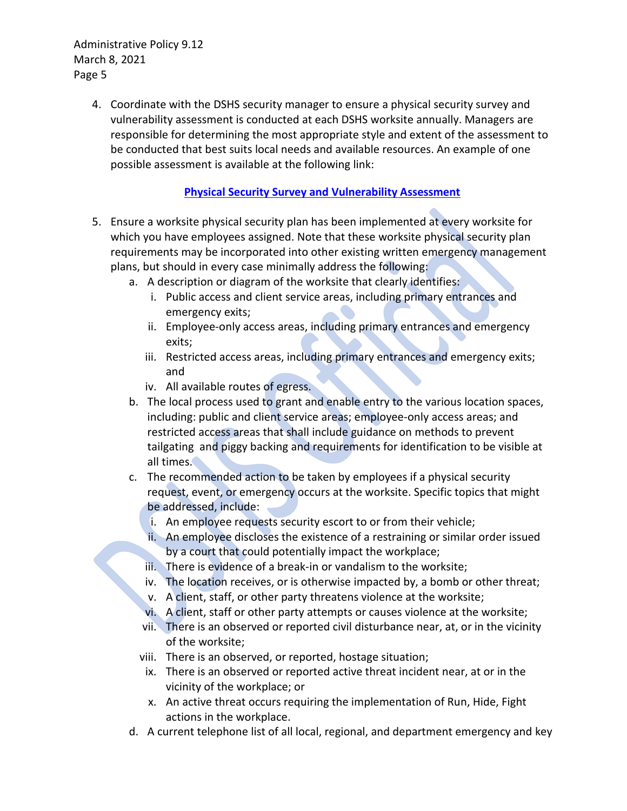> 4. Coordinate with the DSHS security manager to ensure a physical security survey and vulnerability assessment is conducted at each DSHS worksite annually. Managers are responsible for determining the most appropriate style and extent of the assessment to be conducted that best suits local needs and available resources. An example of one possible assessment is available at the following link:

# **[Physical Security Survey and Vulnerability Assessment](http://one.dshs.wa.lcl/FS/Loss/Security/Pages/default.aspx)**

- 5. Ensure a worksite physical security plan has been implemented at every worksite for which you have employees assigned. Note that these worksite physical security plan requirements may be incorporated into other existing written emergency management plans, but should in every case minimally address the following:
	- a. A description or diagram of the worksite that clearly identifies:
		- i. Public access and client service areas, including primary entrances and emergency exits;
		- ii. Employee-only access areas, including primary entrances and emergency exits;
		- iii. Restricted access areas, including primary entrances and emergency exits; and
		- iv. All available routes of egress.
	- b. The local process used to grant and enable entry to the various location spaces, including: public and client service areas; employee-only access areas; and restricted access areas that shall include guidance on methods to prevent tailgating and piggy backing and requirements for identification to be visible at all times.
	- c. The recommended action to be taken by employees if a physical security request, event, or emergency occurs at the worksite. Specific topics that might be addressed, include:
		- i. An employee requests security escort to or from their vehicle;
		- ii. An employee discloses the existence of a restraining or similar order issued by a court that could potentially impact the workplace;
		- iii. There is evidence of a break-in or vandalism to the worksite;
		- iv. The location receives, or is otherwise impacted by, a bomb or other threat;
		- v. A client, staff, or other party threatens violence at the worksite;
		- vi. A client, staff or other party attempts or causes violence at the worksite;
		- vii. There is an observed or reported civil disturbance near, at, or in the vicinity of the worksite;
		- viii. There is an observed, or reported, hostage situation;
		- ix. There is an observed or reported active threat incident near, at or in the vicinity of the workplace; or
		- x. An active threat occurs requiring the implementation of Run, Hide, Fight actions in the workplace.
	- d. A current telephone list of all local, regional, and department emergency and key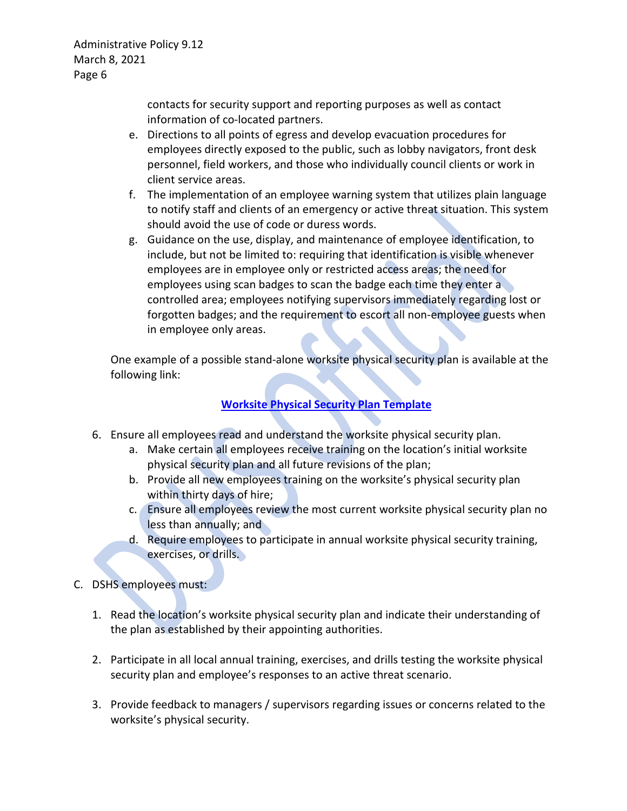> contacts for security support and reporting purposes as well as contact information of co-located partners.

- e. Directions to all points of egress and develop evacuation procedures for employees directly exposed to the public, such as lobby navigators, front desk personnel, field workers, and those who individually council clients or work in client service areas.
- f. The implementation of an employee warning system that utilizes plain language to notify staff and clients of an emergency or active threat situation. This system should avoid the use of code or duress words.
- g. Guidance on the use, display, and maintenance of employee identification, to include, but not be limited to: requiring that identification is visible whenever employees are in employee only or restricted access areas; the need for employees using scan badges to scan the badge each time they enter a controlled area; employees notifying supervisors immediately regarding lost or forgotten badges; and the requirement to escort all non-employee guests when in employee only areas.

One example of a possible stand-alone worksite physical security plan is available at the following link:

# **[Worksite Physical Security Plan Template](http://one.dshs.wa.lcl/FS/Loss/Security/Pages/default.aspx)**

- 6. Ensure all employees read and understand the worksite physical security plan.
	- a. Make certain all employees receive training on the location's initial worksite physical security plan and all future revisions of the plan;
	- b. Provide all new employees training on the worksite's physical security plan within thirty days of hire;
	- c. Ensure all employees review the most current worksite physical security plan no less than annually; and
	- d. Require employees to participate in annual worksite physical security training, exercises, or drills.
- C. DSHS employees must:
	- 1. Read the location's worksite physical security plan and indicate their understanding of the plan as established by their appointing authorities.
	- 2. Participate in all local annual training, exercises, and drills testing the worksite physical security plan and employee's responses to an active threat scenario.
	- 3. Provide feedback to managers / supervisors regarding issues or concerns related to the worksite's physical security.